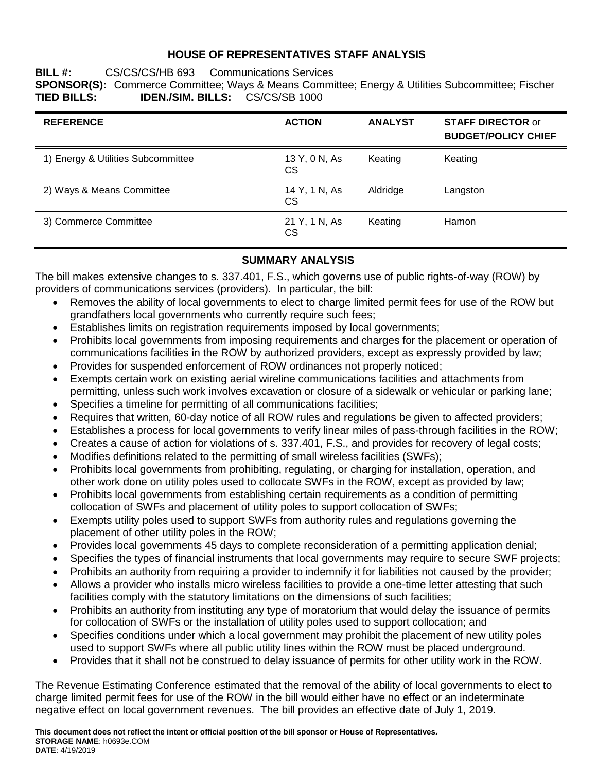## **HOUSE OF REPRESENTATIVES STAFF ANALYSIS**

## **BILL #:** CS/CS/CS/HB 693 Communications Services **SPONSOR(S):** Commerce Committee; Ways & Means Committee; Energy & Utilities Subcommittee; Fischer **TIED BILLS: IDEN./SIM. BILLS:** CS/CS/SB 1000

| <b>REFERENCE</b>                   | <b>ACTION</b>       | <b>ANALYST</b> | <b>STAFF DIRECTOR or</b><br><b>BUDGET/POLICY CHIEF</b> |
|------------------------------------|---------------------|----------------|--------------------------------------------------------|
| 1) Energy & Utilities Subcommittee | 13 Y, 0 N, As<br>CS | Keating        | Keating                                                |
| 2) Ways & Means Committee          | 14 Y, 1 N, As<br>CS | Aldridge       | Langston                                               |
| 3) Commerce Committee              | 21 Y, 1 N, As<br>CS | Keating        | Hamon                                                  |

# **SUMMARY ANALYSIS**

The bill makes extensive changes to s. 337.401, F.S., which governs use of public rights-of-way (ROW) by providers of communications services (providers). In particular, the bill:

- Removes the ability of local governments to elect to charge limited permit fees for use of the ROW but grandfathers local governments who currently require such fees;
- Establishes limits on registration requirements imposed by local governments;
- Prohibits local governments from imposing requirements and charges for the placement or operation of communications facilities in the ROW by authorized providers, except as expressly provided by law;
- Provides for suspended enforcement of ROW ordinances not properly noticed;
- Exempts certain work on existing aerial wireline communications facilities and attachments from permitting, unless such work involves excavation or closure of a sidewalk or vehicular or parking lane;
- Specifies a timeline for permitting of all communications facilities;
- Requires that written, 60-day notice of all ROW rules and regulations be given to affected providers;
- Establishes a process for local governments to verify linear miles of pass-through facilities in the ROW;
- Creates a cause of action for violations of s. 337.401, F.S., and provides for recovery of legal costs;
- Modifies definitions related to the permitting of small wireless facilities (SWFs);
- Prohibits local governments from prohibiting, regulating, or charging for installation, operation, and other work done on utility poles used to collocate SWFs in the ROW, except as provided by law;
- Prohibits local governments from establishing certain requirements as a condition of permitting collocation of SWFs and placement of utility poles to support collocation of SWFs;
- Exempts utility poles used to support SWFs from authority rules and regulations governing the placement of other utility poles in the ROW;
- Provides local governments 45 days to complete reconsideration of a permitting application denial;
- Specifies the types of financial instruments that local governments may require to secure SWF projects;
- Prohibits an authority from requiring a provider to indemnify it for liabilities not caused by the provider;
- Allows a provider who installs micro wireless facilities to provide a one-time letter attesting that such facilities comply with the statutory limitations on the dimensions of such facilities;
- Prohibits an authority from instituting any type of moratorium that would delay the issuance of permits for collocation of SWFs or the installation of utility poles used to support collocation; and
- Specifies conditions under which a local government may prohibit the placement of new utility poles used to support SWFs where all public utility lines within the ROW must be placed underground.
- Provides that it shall not be construed to delay issuance of permits for other utility work in the ROW.

The Revenue Estimating Conference estimated that the removal of the ability of local governments to elect to charge limited permit fees for use of the ROW in the bill would either have no effect or an indeterminate negative effect on local government revenues. The bill provides an effective date of July 1, 2019.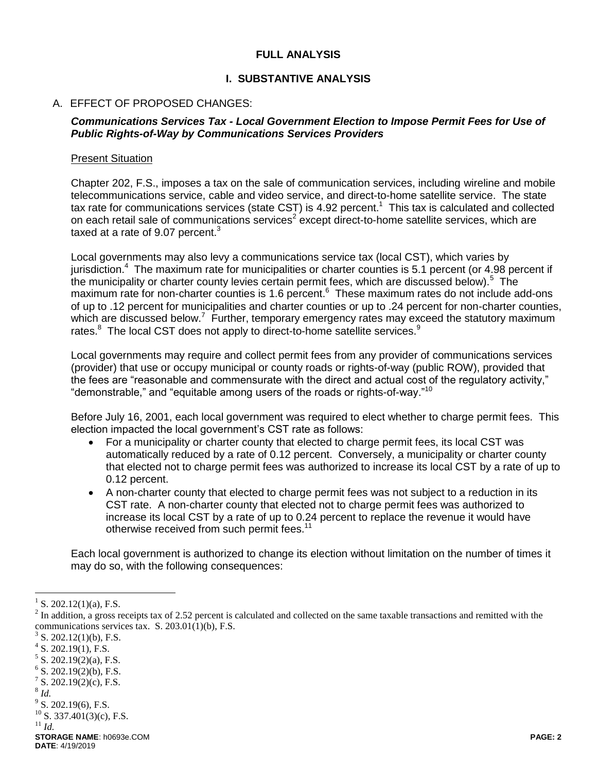#### **FULL ANALYSIS**

#### **I. SUBSTANTIVE ANALYSIS**

#### A. EFFECT OF PROPOSED CHANGES:

#### *Communications Services Tax - Local Government Election to Impose Permit Fees for Use of Public Rights-of-Way by Communications Services Providers*

#### Present Situation

Chapter 202, F.S., imposes a tax on the sale of communication services, including wireline and mobile telecommunications service, cable and video service, and direct-to-home satellite service. The state tax rate for communications services (state CST) is 4.92 percent.<sup>1</sup> This tax is calculated and collected on each retail sale of communications services<sup>2</sup> except direct-to-home satellite services, which are taxed at a rate of 9.07 percent. $3$ 

Local governments may also levy a communications service tax (local CST), which varies by jurisdiction.<sup>4</sup> The maximum rate for municipalities or charter counties is 5.1 percent (or 4.98 percent if the municipality or charter county levies certain permit fees, which are discussed below).<sup>5</sup> The maximum rate for non-charter counties is 1.6 percent.<sup>6</sup> These maximum rates do not include add-ons of up to .12 percent for municipalities and charter counties or up to .24 percent for non-charter counties, which are discussed below.<sup>7</sup> Further, temporary emergency rates may exceed the statutory maximum rates.<sup>8</sup> The local CST does not apply to direct-to-home satellite services.<sup>9</sup>

Local governments may require and collect permit fees from any provider of communications services (provider) that use or occupy municipal or county roads or rights-of-way (public ROW), provided that the fees are "reasonable and commensurate with the direct and actual cost of the regulatory activity," "demonstrable," and "equitable among users of the roads or rights-of-way."<sup>10</sup>

Before July 16, 2001, each local government was required to elect whether to charge permit fees. This election impacted the local government's CST rate as follows:

- For a municipality or charter county that elected to charge permit fees, its local CST was automatically reduced by a rate of 0.12 percent. Conversely, a municipality or charter county that elected not to charge permit fees was authorized to increase its local CST by a rate of up to 0.12 percent.
- A non-charter county that elected to charge permit fees was not subject to a reduction in its CST rate. A non-charter county that elected not to charge permit fees was authorized to increase its local CST by a rate of up to 0.24 percent to replace the revenue it would have otherwise received from such permit fees.<sup>11</sup>

Each local government is authorized to change its election without limitation on the number of times it may do so, with the following consequences:

- $7^7$  S. 202.19(2)(c), F.S.
- 8 *Id.*

- $9^9$  S. 202.19(6), F.S.
- $10$  S. 337.401(3)(c), F.S.
- <sup>11</sup> *Id.*

<sup>&</sup>lt;sup>1</sup> S. 202.12(1)(a), F.S.

 $2^{2}$  In addition, a gross receipts tax of 2.52 percent is calculated and collected on the same taxable transactions and remitted with the communications services tax. S. 203.01(1)(b), F.S.

<sup>3</sup> S. 202.12(1)(b), F.S.

 $4$  S. 202.19(1), F.S.

 $5$  S. 202.19(2)(a), F.S.

 $6$  S. 202.19(2)(b), F.S.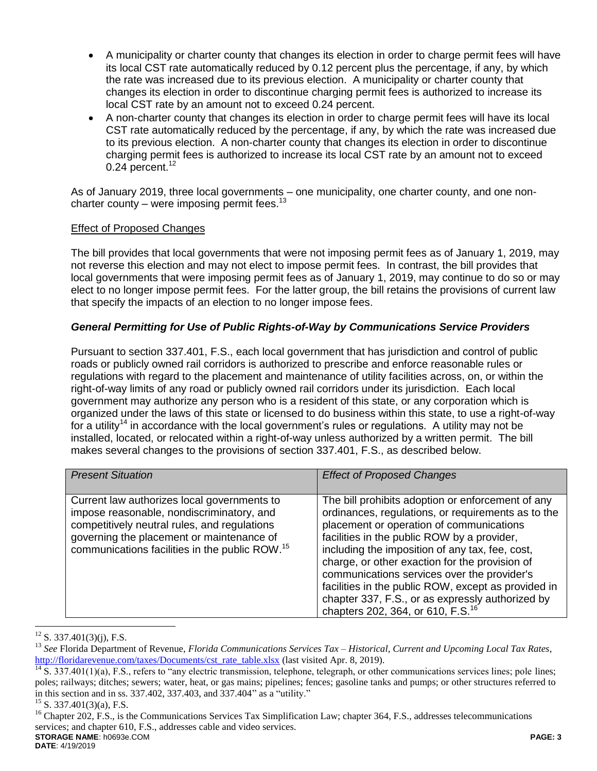- A municipality or charter county that changes its election in order to charge permit fees will have its local CST rate automatically reduced by 0.12 percent plus the percentage, if any, by which the rate was increased due to its previous election. A municipality or charter county that changes its election in order to discontinue charging permit fees is authorized to increase its local CST rate by an amount not to exceed 0.24 percent.
- A non-charter county that changes its election in order to charge permit fees will have its local CST rate automatically reduced by the percentage, if any, by which the rate was increased due to its previous election. A non-charter county that changes its election in order to discontinue charging permit fees is authorized to increase its local CST rate by an amount not to exceed  $0.24$  percent.<sup>12</sup>

As of January 2019, three local governments – one municipality, one charter county, and one noncharter county – were imposing permit fees.<sup>13</sup>

## Effect of Proposed Changes

The bill provides that local governments that were not imposing permit fees as of January 1, 2019, may not reverse this election and may not elect to impose permit fees. In contrast, the bill provides that local governments that were imposing permit fees as of January 1, 2019, may continue to do so or may elect to no longer impose permit fees. For the latter group, the bill retains the provisions of current law that specify the impacts of an election to no longer impose fees.

# *General Permitting for Use of Public Rights-of-Way by Communications Service Providers*

Pursuant to section 337.401, F.S., each local government that has jurisdiction and control of public roads or publicly owned rail corridors is authorized to prescribe and enforce reasonable rules or regulations with regard to the placement and maintenance of utility facilities across, on, or within the right-of-way limits of any road or publicly owned rail corridors under its jurisdiction. Each local government may authorize any person who is a resident of this state, or any corporation which is organized under the laws of this state or licensed to do business within this state, to use a right-of-way for a utility<sup>14</sup> in accordance with the local government's rules or regulations. A utility may not be installed, located, or relocated within a right-of-way unless authorized by a written permit. The bill makes several changes to the provisions of section 337.401, F.S., as described below.

| <b>Present Situation</b>                                                                                                                                                                                                                            | <b>Effect of Proposed Changes</b>                                                                                                                                                                                                                                                                                                                                                                                                                                                                                  |
|-----------------------------------------------------------------------------------------------------------------------------------------------------------------------------------------------------------------------------------------------------|--------------------------------------------------------------------------------------------------------------------------------------------------------------------------------------------------------------------------------------------------------------------------------------------------------------------------------------------------------------------------------------------------------------------------------------------------------------------------------------------------------------------|
| Current law authorizes local governments to<br>impose reasonable, nondiscriminatory, and<br>competitively neutral rules, and regulations<br>governing the placement or maintenance of<br>communications facilities in the public ROW. <sup>15</sup> | The bill prohibits adoption or enforcement of any<br>ordinances, regulations, or requirements as to the<br>placement or operation of communications<br>facilities in the public ROW by a provider,<br>including the imposition of any tax, fee, cost,<br>charge, or other exaction for the provision of<br>communications services over the provider's<br>facilities in the public ROW, except as provided in<br>chapter 337, F.S., or as expressly authorized by<br>chapters 202, 364, or 610, F.S. <sup>16</sup> |

S. 337.401(3)(j), F.S.

<sup>13</sup> *See* Florida Department of Revenue, *Florida Communications Services Tax – Historical, Current and Upcoming Local Tax Rates*, [http://floridarevenue.com/taxes/Documents/cst\\_rate\\_table.xlsx](http://floridarevenue.com/taxes/Documents/cst_rate_table.xlsx) (last visited Apr. 8, 2019).

 $\frac{14}{14}$  S. 337.401(1)(a), F.S., refers to "any electric transmission, telephone, telegraph, or other communications services lines; pole lines; poles; railways; ditches; sewers; water, heat, or gas mains; pipelines; fences; gasoline tanks and pumps; or other structures referred to in this section and in ss. 337.402, 337.403, and 337.404" as a "utility."

<sup>15</sup> S. 337.401(3)(a), F.S.

**STORAGE NAME**: h0693e.COM **PAGE: 3 DATE**: 4/19/2019 <sup>16</sup> Chapter 202, F.S., is the Communications Services Tax Simplification Law; chapter 364, F.S., addresses telecommunications services; and chapter 610, F.S., addresses cable and video services.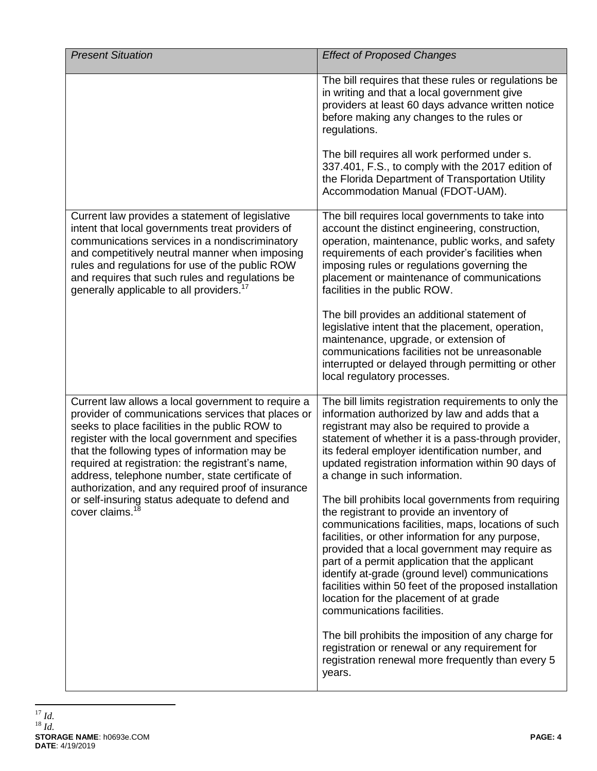| <b>Present Situation</b>                                                                                                                                                                                                                                                                                                                                                                                                      | <b>Effect of Proposed Changes</b>                                                                                                                                                                                                                                                                                                                                                                                                                                                                      |
|-------------------------------------------------------------------------------------------------------------------------------------------------------------------------------------------------------------------------------------------------------------------------------------------------------------------------------------------------------------------------------------------------------------------------------|--------------------------------------------------------------------------------------------------------------------------------------------------------------------------------------------------------------------------------------------------------------------------------------------------------------------------------------------------------------------------------------------------------------------------------------------------------------------------------------------------------|
|                                                                                                                                                                                                                                                                                                                                                                                                                               | The bill requires that these rules or regulations be<br>in writing and that a local government give<br>providers at least 60 days advance written notice<br>before making any changes to the rules or<br>regulations.                                                                                                                                                                                                                                                                                  |
|                                                                                                                                                                                                                                                                                                                                                                                                                               | The bill requires all work performed under s.<br>337.401, F.S., to comply with the 2017 edition of<br>the Florida Department of Transportation Utility<br>Accommodation Manual (FDOT-UAM).                                                                                                                                                                                                                                                                                                             |
| Current law provides a statement of legislative<br>intent that local governments treat providers of<br>communications services in a nondiscriminatory<br>and competitively neutral manner when imposing<br>rules and regulations for use of the public ROW<br>and requires that such rules and regulations be<br>generally applicable to all providers. <sup>17</sup>                                                         | The bill requires local governments to take into<br>account the distinct engineering, construction,<br>operation, maintenance, public works, and safety<br>requirements of each provider's facilities when<br>imposing rules or regulations governing the<br>placement or maintenance of communications<br>facilities in the public ROW.                                                                                                                                                               |
|                                                                                                                                                                                                                                                                                                                                                                                                                               | The bill provides an additional statement of<br>legislative intent that the placement, operation,<br>maintenance, upgrade, or extension of<br>communications facilities not be unreasonable<br>interrupted or delayed through permitting or other<br>local regulatory processes.                                                                                                                                                                                                                       |
| Current law allows a local government to require a<br>provider of communications services that places or<br>seeks to place facilities in the public ROW to<br>register with the local government and specifies<br>that the following types of information may be<br>required at registration: the registrant's name,<br>address, telephone number, state certificate of<br>authorization, and any required proof of insurance | The bill limits registration requirements to only the<br>information authorized by law and adds that a<br>registrant may also be required to provide a<br>statement of whether it is a pass-through provider,<br>its federal employer identification number, and<br>updated registration information within 90 days of<br>a change in such information.                                                                                                                                                |
| or self-insuring status adequate to defend and<br>cover claims. <sup>18</sup>                                                                                                                                                                                                                                                                                                                                                 | The bill prohibits local governments from requiring<br>the registrant to provide an inventory of<br>communications facilities, maps, locations of such<br>facilities, or other information for any purpose,<br>provided that a local government may require as<br>part of a permit application that the applicant<br>identify at-grade (ground level) communications<br>facilities within 50 feet of the proposed installation<br>location for the placement of at grade<br>communications facilities. |
|                                                                                                                                                                                                                                                                                                                                                                                                                               | The bill prohibits the imposition of any charge for<br>registration or renewal or any requirement for<br>registration renewal more frequently than every 5<br>years.                                                                                                                                                                                                                                                                                                                                   |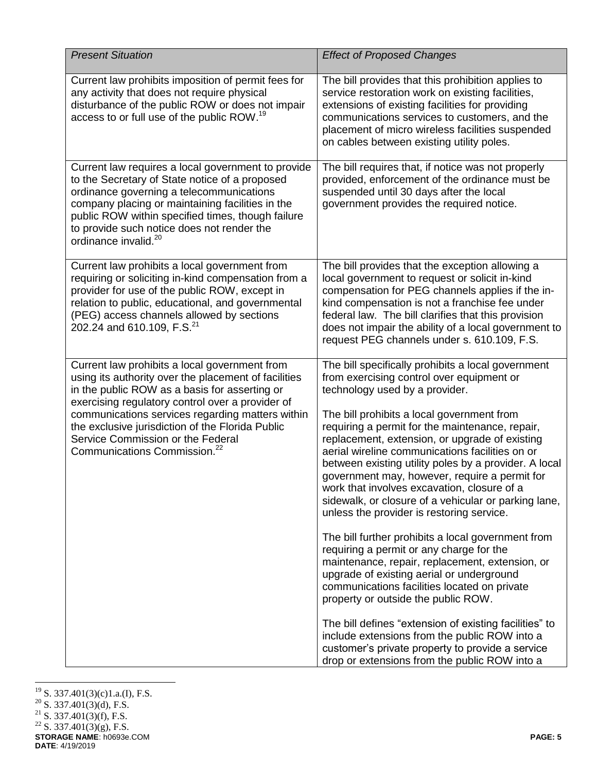| <b>Present Situation</b>                                                                                                                                                                                                                                                                                                                                                                            | <b>Effect of Proposed Changes</b>                                                                                                                                                                                                                                                                                                                                                                                                                                                                                                                                                                                                                                                                                                                                                                                                                                                                                                                                                                                                                                                                              |
|-----------------------------------------------------------------------------------------------------------------------------------------------------------------------------------------------------------------------------------------------------------------------------------------------------------------------------------------------------------------------------------------------------|----------------------------------------------------------------------------------------------------------------------------------------------------------------------------------------------------------------------------------------------------------------------------------------------------------------------------------------------------------------------------------------------------------------------------------------------------------------------------------------------------------------------------------------------------------------------------------------------------------------------------------------------------------------------------------------------------------------------------------------------------------------------------------------------------------------------------------------------------------------------------------------------------------------------------------------------------------------------------------------------------------------------------------------------------------------------------------------------------------------|
| Current law prohibits imposition of permit fees for<br>any activity that does not require physical<br>disturbance of the public ROW or does not impair<br>access to or full use of the public ROW. <sup>19</sup>                                                                                                                                                                                    | The bill provides that this prohibition applies to<br>service restoration work on existing facilities,<br>extensions of existing facilities for providing<br>communications services to customers, and the<br>placement of micro wireless facilities suspended<br>on cables between existing utility poles.                                                                                                                                                                                                                                                                                                                                                                                                                                                                                                                                                                                                                                                                                                                                                                                                    |
| Current law requires a local government to provide<br>to the Secretary of State notice of a proposed<br>ordinance governing a telecommunications<br>company placing or maintaining facilities in the<br>public ROW within specified times, though failure<br>to provide such notice does not render the<br>ordinance invalid. <sup>20</sup>                                                         | The bill requires that, if notice was not properly<br>provided, enforcement of the ordinance must be<br>suspended until 30 days after the local<br>government provides the required notice.                                                                                                                                                                                                                                                                                                                                                                                                                                                                                                                                                                                                                                                                                                                                                                                                                                                                                                                    |
| Current law prohibits a local government from<br>requiring or soliciting in-kind compensation from a<br>provider for use of the public ROW, except in<br>relation to public, educational, and governmental<br>(PEG) access channels allowed by sections<br>202.24 and 610.109, F.S. <sup>21</sup>                                                                                                   | The bill provides that the exception allowing a<br>local government to request or solicit in-kind<br>compensation for PEG channels applies if the in-<br>kind compensation is not a franchise fee under<br>federal law. The bill clarifies that this provision<br>does not impair the ability of a local government to<br>request PEG channels under s. 610.109, F.S.                                                                                                                                                                                                                                                                                                                                                                                                                                                                                                                                                                                                                                                                                                                                          |
| Current law prohibits a local government from<br>using its authority over the placement of facilities<br>in the public ROW as a basis for asserting or<br>exercising regulatory control over a provider of<br>communications services regarding matters within<br>the exclusive jurisdiction of the Florida Public<br>Service Commission or the Federal<br>Communications Commission. <sup>22</sup> | The bill specifically prohibits a local government<br>from exercising control over equipment or<br>technology used by a provider.<br>The bill prohibits a local government from<br>requiring a permit for the maintenance, repair,<br>replacement, extension, or upgrade of existing<br>aerial wireline communications facilities on or<br>between existing utility poles by a provider. A local<br>government may, however, require a permit for<br>work that involves excavation, closure of a<br>sidewalk, or closure of a vehicular or parking lane,<br>unless the provider is restoring service.<br>The bill further prohibits a local government from<br>requiring a permit or any charge for the<br>maintenance, repair, replacement, extension, or<br>upgrade of existing aerial or underground<br>communications facilities located on private<br>property or outside the public ROW.<br>The bill defines "extension of existing facilities" to<br>include extensions from the public ROW into a<br>customer's private property to provide a service<br>drop or extensions from the public ROW into a |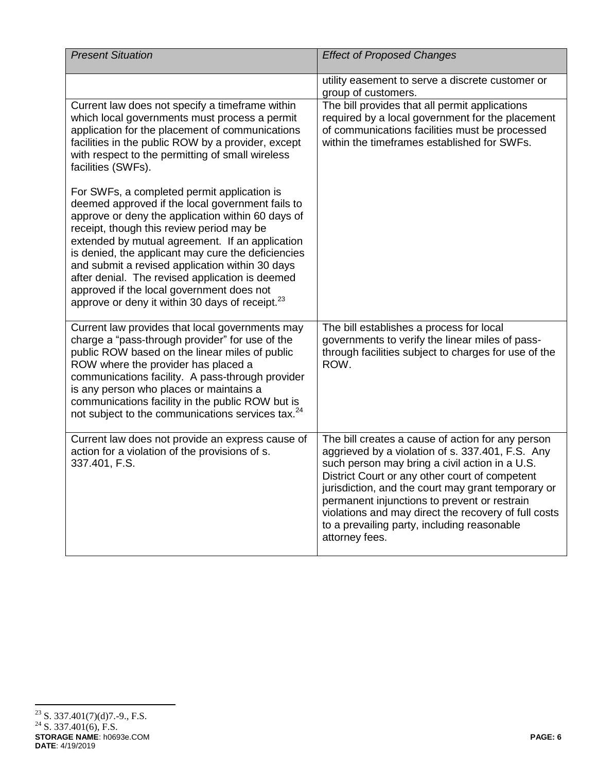| <b>Present Situation</b>                                                                                                                                                                                                                                                                                                                                                                                                                                                                                                     | <b>Effect of Proposed Changes</b>                                                                                                                                                                                                                                                                                                                                                                                                        |
|------------------------------------------------------------------------------------------------------------------------------------------------------------------------------------------------------------------------------------------------------------------------------------------------------------------------------------------------------------------------------------------------------------------------------------------------------------------------------------------------------------------------------|------------------------------------------------------------------------------------------------------------------------------------------------------------------------------------------------------------------------------------------------------------------------------------------------------------------------------------------------------------------------------------------------------------------------------------------|
|                                                                                                                                                                                                                                                                                                                                                                                                                                                                                                                              | utility easement to serve a discrete customer or<br>group of customers.                                                                                                                                                                                                                                                                                                                                                                  |
| Current law does not specify a timeframe within<br>which local governments must process a permit<br>application for the placement of communications<br>facilities in the public ROW by a provider, except<br>with respect to the permitting of small wireless<br>facilities (SWFs).                                                                                                                                                                                                                                          | The bill provides that all permit applications<br>required by a local government for the placement<br>of communications facilities must be processed<br>within the timeframes established for SWFs.                                                                                                                                                                                                                                      |
| For SWFs, a completed permit application is<br>deemed approved if the local government fails to<br>approve or deny the application within 60 days of<br>receipt, though this review period may be<br>extended by mutual agreement. If an application<br>is denied, the applicant may cure the deficiencies<br>and submit a revised application within 30 days<br>after denial. The revised application is deemed<br>approved if the local government does not<br>approve or deny it within 30 days of receipt. <sup>23</sup> |                                                                                                                                                                                                                                                                                                                                                                                                                                          |
| Current law provides that local governments may<br>charge a "pass-through provider" for use of the<br>public ROW based on the linear miles of public<br>ROW where the provider has placed a<br>communications facility. A pass-through provider<br>is any person who places or maintains a<br>communications facility in the public ROW but is<br>not subject to the communications services tax. <sup>24</sup>                                                                                                              | The bill establishes a process for local<br>governments to verify the linear miles of pass-<br>through facilities subject to charges for use of the<br>ROW.                                                                                                                                                                                                                                                                              |
| Current law does not provide an express cause of<br>action for a violation of the provisions of s.<br>337.401, F.S.                                                                                                                                                                                                                                                                                                                                                                                                          | The bill creates a cause of action for any person<br>aggrieved by a violation of s. 337.401, F.S. Any<br>such person may bring a civil action in a U.S.<br>District Court or any other court of competent<br>jurisdiction, and the court may grant temporary or<br>permanent injunctions to prevent or restrain<br>violations and may direct the recovery of full costs<br>to a prevailing party, including reasonable<br>attorney fees. |

**STORAGE NAME**: h0693e.COM **PAGE: 6 DATE**: 4/19/2019  $23$  S. 337.401(7)(d)7.-9., F.S.  $^{24}$  S. 337.401(6), F.S.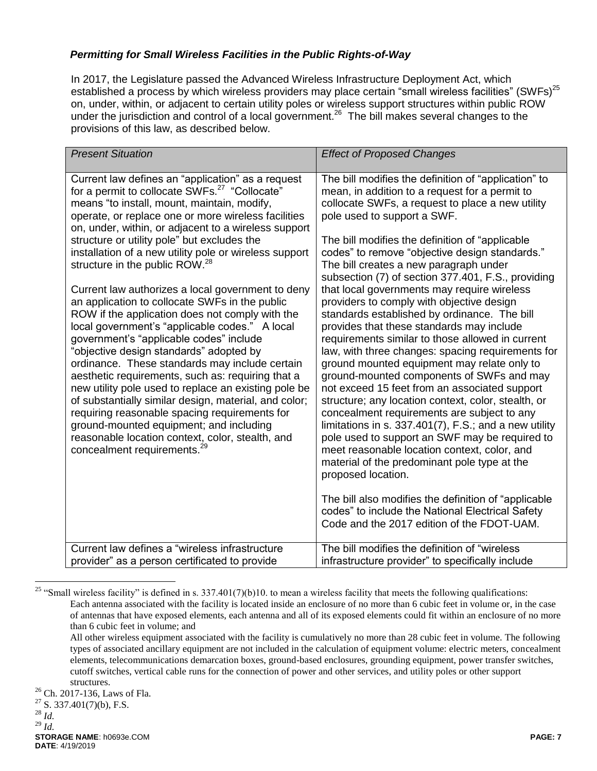# *Permitting for Small Wireless Facilities in the Public Rights-of-Way*

In 2017, the Legislature passed the Advanced Wireless Infrastructure Deployment Act, which established a process by which wireless providers may place certain "small wireless facilities" (SWFs)<sup>25</sup> on, under, within, or adjacent to certain utility poles or wireless support structures within public ROW under the jurisdiction and control of a local government.<sup>26</sup> The bill makes several changes to the provisions of this law, as described below.

| <b>Present Situation</b>                                                                                                                                                                                                                                                                                                                                                                                                                                                                                                                                                                                                                                                                                                                                                                                                                                                                                                                                                                                                                                                                                                                                 | <b>Effect of Proposed Changes</b>                                                                                                                                                                                                                                                                                                                                                                                                                                                                                                                                                                                                                                                                                                                                                                                                                                                                                                                                                                                                                                                                                                                                                                                                             |
|----------------------------------------------------------------------------------------------------------------------------------------------------------------------------------------------------------------------------------------------------------------------------------------------------------------------------------------------------------------------------------------------------------------------------------------------------------------------------------------------------------------------------------------------------------------------------------------------------------------------------------------------------------------------------------------------------------------------------------------------------------------------------------------------------------------------------------------------------------------------------------------------------------------------------------------------------------------------------------------------------------------------------------------------------------------------------------------------------------------------------------------------------------|-----------------------------------------------------------------------------------------------------------------------------------------------------------------------------------------------------------------------------------------------------------------------------------------------------------------------------------------------------------------------------------------------------------------------------------------------------------------------------------------------------------------------------------------------------------------------------------------------------------------------------------------------------------------------------------------------------------------------------------------------------------------------------------------------------------------------------------------------------------------------------------------------------------------------------------------------------------------------------------------------------------------------------------------------------------------------------------------------------------------------------------------------------------------------------------------------------------------------------------------------|
| Current law defines an "application" as a request<br>for a permit to collocate SWFs. <sup>27</sup> "Collocate"<br>means "to install, mount, maintain, modify,<br>operate, or replace one or more wireless facilities<br>on, under, within, or adjacent to a wireless support<br>structure or utility pole" but excludes the<br>installation of a new utility pole or wireless support<br>structure in the public ROW. <sup>28</sup><br>Current law authorizes a local government to deny<br>an application to collocate SWFs in the public<br>ROW if the application does not comply with the<br>local government's "applicable codes." A local<br>government's "applicable codes" include<br>"objective design standards" adopted by<br>ordinance. These standards may include certain<br>aesthetic requirements, such as: requiring that a<br>new utility pole used to replace an existing pole be<br>of substantially similar design, material, and color;<br>requiring reasonable spacing requirements for<br>ground-mounted equipment; and including<br>reasonable location context, color, stealth, and<br>concealment requirements. <sup>29</sup> | The bill modifies the definition of "application" to<br>mean, in addition to a request for a permit to<br>collocate SWFs, a request to place a new utility<br>pole used to support a SWF.<br>The bill modifies the definition of "applicable<br>codes" to remove "objective design standards."<br>The bill creates a new paragraph under<br>subsection (7) of section 377.401, F.S., providing<br>that local governments may require wireless<br>providers to comply with objective design<br>standards established by ordinance. The bill<br>provides that these standards may include<br>requirements similar to those allowed in current<br>law, with three changes: spacing requirements for<br>ground mounted equipment may relate only to<br>ground-mounted components of SWFs and may<br>not exceed 15 feet from an associated support<br>structure; any location context, color, stealth, or<br>concealment requirements are subject to any<br>limitations in s. 337.401(7), F.S.; and a new utility<br>pole used to support an SWF may be required to<br>meet reasonable location context, color, and<br>material of the predominant pole type at the<br>proposed location.<br>The bill also modifies the definition of "applicable" |
|                                                                                                                                                                                                                                                                                                                                                                                                                                                                                                                                                                                                                                                                                                                                                                                                                                                                                                                                                                                                                                                                                                                                                          | codes" to include the National Electrical Safety<br>Code and the 2017 edition of the FDOT-UAM.                                                                                                                                                                                                                                                                                                                                                                                                                                                                                                                                                                                                                                                                                                                                                                                                                                                                                                                                                                                                                                                                                                                                                |
| Current law defines a "wireless infrastructure"<br>provider" as a person certificated to provide                                                                                                                                                                                                                                                                                                                                                                                                                                                                                                                                                                                                                                                                                                                                                                                                                                                                                                                                                                                                                                                         | The bill modifies the definition of "wireless"<br>infrastructure provider" to specifically include                                                                                                                                                                                                                                                                                                                                                                                                                                                                                                                                                                                                                                                                                                                                                                                                                                                                                                                                                                                                                                                                                                                                            |

<sup>&</sup>lt;sup>25</sup> "Small wireless facility" is defined in s. 337.401(7)(b)10. to mean a wireless facility that meets the following qualifications: Each antenna associated with the facility is located inside an enclosure of no more than 6 cubic feet in volume or, in the case of antennas that have exposed elements, each antenna and all of its exposed elements could fit within an enclosure of no more than 6 cubic feet in volume; and

All other wireless equipment associated with the facility is cumulatively no more than 28 cubic feet in volume. The following types of associated ancillary equipment are not included in the calculation of equipment volume: electric meters, concealment elements, telecommunications demarcation boxes, ground-based enclosures, grounding equipment, power transfer switches, cutoff switches, vertical cable runs for the connection of power and other services, and utility poles or other support structures.

<sup>&</sup>lt;sup>26</sup> Ch. 2017-136, Laws of Fla.<br><sup>27</sup> S <sup>227</sup> 401(7)(b) E S

<sup>27</sup> S. 337.401(7)(b), F.S.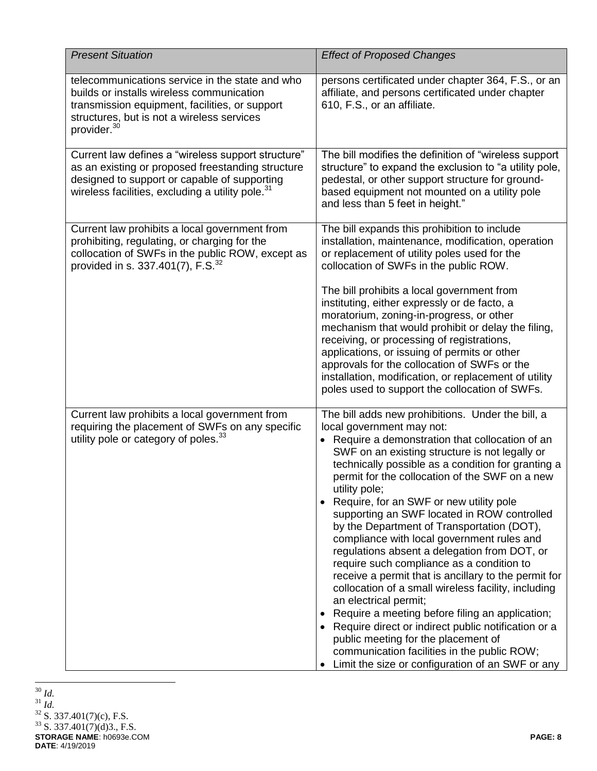| <b>Present Situation</b>                                                                                                                                                                                                | <b>Effect of Proposed Changes</b>                                                                                                                                                                                                                                                                                                                                                                                                                                                                                                                                                                                                                                                                                                                                                                                                                                                                                                                                                            |
|-------------------------------------------------------------------------------------------------------------------------------------------------------------------------------------------------------------------------|----------------------------------------------------------------------------------------------------------------------------------------------------------------------------------------------------------------------------------------------------------------------------------------------------------------------------------------------------------------------------------------------------------------------------------------------------------------------------------------------------------------------------------------------------------------------------------------------------------------------------------------------------------------------------------------------------------------------------------------------------------------------------------------------------------------------------------------------------------------------------------------------------------------------------------------------------------------------------------------------|
| telecommunications service in the state and who<br>builds or installs wireless communication<br>transmission equipment, facilities, or support<br>structures, but is not a wireless services<br>provider. <sup>30</sup> | persons certificated under chapter 364, F.S., or an<br>affiliate, and persons certificated under chapter<br>610, F.S., or an affiliate.                                                                                                                                                                                                                                                                                                                                                                                                                                                                                                                                                                                                                                                                                                                                                                                                                                                      |
| Current law defines a "wireless support structure"<br>as an existing or proposed freestanding structure<br>designed to support or capable of supporting<br>wireless facilities, excluding a utility pole. <sup>31</sup> | The bill modifies the definition of "wireless support<br>structure" to expand the exclusion to "a utility pole,<br>pedestal, or other support structure for ground-<br>based equipment not mounted on a utility pole<br>and less than 5 feet in height."                                                                                                                                                                                                                                                                                                                                                                                                                                                                                                                                                                                                                                                                                                                                     |
| Current law prohibits a local government from<br>prohibiting, regulating, or charging for the<br>collocation of SWFs in the public ROW, except as<br>provided in s. 337.401(7), F.S. <sup>32</sup>                      | The bill expands this prohibition to include<br>installation, maintenance, modification, operation<br>or replacement of utility poles used for the<br>collocation of SWFs in the public ROW.                                                                                                                                                                                                                                                                                                                                                                                                                                                                                                                                                                                                                                                                                                                                                                                                 |
|                                                                                                                                                                                                                         | The bill prohibits a local government from<br>instituting, either expressly or de facto, a<br>moratorium, zoning-in-progress, or other<br>mechanism that would prohibit or delay the filing,<br>receiving, or processing of registrations,<br>applications, or issuing of permits or other<br>approvals for the collocation of SWFs or the<br>installation, modification, or replacement of utility<br>poles used to support the collocation of SWFs.                                                                                                                                                                                                                                                                                                                                                                                                                                                                                                                                        |
| Current law prohibits a local government from<br>requiring the placement of SWFs on any specific<br>utility pole or category of poles. <sup>33</sup>                                                                    | The bill adds new prohibitions. Under the bill, a<br>local government may not:<br>• Require a demonstration that collocation of an<br>SWF on an existing structure is not legally or<br>technically possible as a condition for granting a<br>permit for the collocation of the SWF on a new<br>utility pole;<br>Require, for an SWF or new utility pole<br>supporting an SWF located in ROW controlled<br>by the Department of Transportation (DOT),<br>compliance with local government rules and<br>regulations absent a delegation from DOT, or<br>require such compliance as a condition to<br>receive a permit that is ancillary to the permit for<br>collocation of a small wireless facility, including<br>an electrical permit;<br>Require a meeting before filing an application;<br>Require direct or indirect public notification or a<br>public meeting for the placement of<br>communication facilities in the public ROW;<br>Limit the size or configuration of an SWF or any |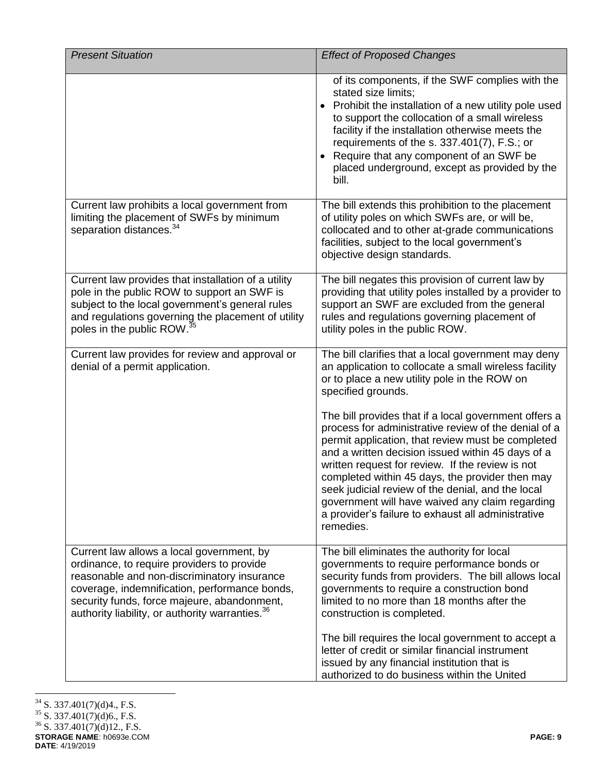| <b>Present Situation</b>                                                                                                                                                                                                                                                                              | <b>Effect of Proposed Changes</b>                                                                                                                                                                                                                                                                                                                                                                                                                                                                         |
|-------------------------------------------------------------------------------------------------------------------------------------------------------------------------------------------------------------------------------------------------------------------------------------------------------|-----------------------------------------------------------------------------------------------------------------------------------------------------------------------------------------------------------------------------------------------------------------------------------------------------------------------------------------------------------------------------------------------------------------------------------------------------------------------------------------------------------|
|                                                                                                                                                                                                                                                                                                       | of its components, if the SWF complies with the<br>stated size limits;<br>Prohibit the installation of a new utility pole used<br>to support the collocation of a small wireless<br>facility if the installation otherwise meets the<br>requirements of the s. $337.401(7)$ , F.S.; or<br>Require that any component of an SWF be<br>placed underground, except as provided by the<br>bill.                                                                                                               |
| Current law prohibits a local government from<br>limiting the placement of SWFs by minimum<br>separation distances. <sup>34</sup>                                                                                                                                                                     | The bill extends this prohibition to the placement<br>of utility poles on which SWFs are, or will be,<br>collocated and to other at-grade communications<br>facilities, subject to the local government's<br>objective design standards.                                                                                                                                                                                                                                                                  |
| Current law provides that installation of a utility<br>pole in the public ROW to support an SWF is<br>subject to the local government's general rules<br>and regulations governing the placement of utility<br>poles in the public ROW. <sup>35</sup>                                                 | The bill negates this provision of current law by<br>providing that utility poles installed by a provider to<br>support an SWF are excluded from the general<br>rules and regulations governing placement of<br>utility poles in the public ROW.                                                                                                                                                                                                                                                          |
| Current law provides for review and approval or<br>denial of a permit application.                                                                                                                                                                                                                    | The bill clarifies that a local government may deny<br>an application to collocate a small wireless facility<br>or to place a new utility pole in the ROW on<br>specified grounds.                                                                                                                                                                                                                                                                                                                        |
|                                                                                                                                                                                                                                                                                                       | The bill provides that if a local government offers a<br>process for administrative review of the denial of a<br>permit application, that review must be completed<br>and a written decision issued within 45 days of a<br>written request for review. If the review is not<br>completed within 45 days, the provider then may<br>seek judicial review of the denial, and the local<br>government will have waived any claim regarding<br>a provider's failure to exhaust all administrative<br>remedies. |
| Current law allows a local government, by<br>ordinance, to require providers to provide<br>reasonable and non-discriminatory insurance<br>coverage, indemnification, performance bonds,<br>security funds, force majeure, abandonment,<br>authority liability, or authority warranties. <sup>36</sup> | The bill eliminates the authority for local<br>governments to require performance bonds or<br>security funds from providers. The bill allows local<br>governments to require a construction bond<br>limited to no more than 18 months after the<br>construction is completed.                                                                                                                                                                                                                             |
|                                                                                                                                                                                                                                                                                                       | The bill requires the local government to accept a<br>letter of credit or similar financial instrument<br>issued by any financial institution that is<br>authorized to do business within the United                                                                                                                                                                                                                                                                                                      |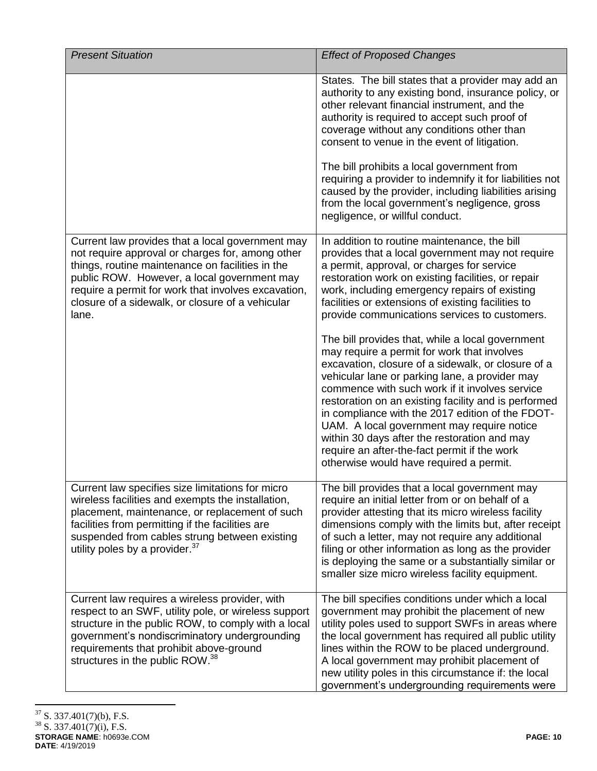| <b>Present Situation</b>                                                                                                                                                                                                                                                                                                    | <b>Effect of Proposed Changes</b>                                                                                                                                                                                                                                                                                                                                                                                                                                                                                                                                                                                                                                                                                                                                                                                                                                                                                              |
|-----------------------------------------------------------------------------------------------------------------------------------------------------------------------------------------------------------------------------------------------------------------------------------------------------------------------------|--------------------------------------------------------------------------------------------------------------------------------------------------------------------------------------------------------------------------------------------------------------------------------------------------------------------------------------------------------------------------------------------------------------------------------------------------------------------------------------------------------------------------------------------------------------------------------------------------------------------------------------------------------------------------------------------------------------------------------------------------------------------------------------------------------------------------------------------------------------------------------------------------------------------------------|
|                                                                                                                                                                                                                                                                                                                             | States. The bill states that a provider may add an<br>authority to any existing bond, insurance policy, or<br>other relevant financial instrument, and the<br>authority is required to accept such proof of<br>coverage without any conditions other than<br>consent to venue in the event of litigation.<br>The bill prohibits a local government from<br>requiring a provider to indemnify it for liabilities not<br>caused by the provider, including liabilities arising<br>from the local government's negligence, gross<br>negligence, or willful conduct.                                                                                                                                                                                                                                                                                                                                                               |
| Current law provides that a local government may<br>not require approval or charges for, among other<br>things, routine maintenance on facilities in the<br>public ROW. However, a local government may<br>require a permit for work that involves excavation,<br>closure of a sidewalk, or closure of a vehicular<br>lane. | In addition to routine maintenance, the bill<br>provides that a local government may not require<br>a permit, approval, or charges for service<br>restoration work on existing facilities, or repair<br>work, including emergency repairs of existing<br>facilities or extensions of existing facilities to<br>provide communications services to customers.<br>The bill provides that, while a local government<br>may require a permit for work that involves<br>excavation, closure of a sidewalk, or closure of a<br>vehicular lane or parking lane, a provider may<br>commence with such work if it involves service<br>restoration on an existing facility and is performed<br>in compliance with the 2017 edition of the FDOT-<br>UAM. A local government may require notice<br>within 30 days after the restoration and may<br>require an after-the-fact permit if the work<br>otherwise would have required a permit. |
| Current law specifies size limitations for micro<br>wireless facilities and exempts the installation,<br>placement, maintenance, or replacement of such<br>facilities from permitting if the facilities are<br>suspended from cables strung between existing<br>utility poles by a provider. <sup>37</sup>                  | The bill provides that a local government may<br>require an initial letter from or on behalf of a<br>provider attesting that its micro wireless facility<br>dimensions comply with the limits but, after receipt<br>of such a letter, may not require any additional<br>filing or other information as long as the provider<br>is deploying the same or a substantially similar or<br>smaller size micro wireless facility equipment.                                                                                                                                                                                                                                                                                                                                                                                                                                                                                          |
| Current law requires a wireless provider, with<br>respect to an SWF, utility pole, or wireless support<br>structure in the public ROW, to comply with a local<br>government's nondiscriminatory undergrounding<br>requirements that prohibit above-ground<br>structures in the public ROW. <sup>38</sup>                    | The bill specifies conditions under which a local<br>government may prohibit the placement of new<br>utility poles used to support SWFs in areas where<br>the local government has required all public utility<br>lines within the ROW to be placed underground.<br>A local government may prohibit placement of<br>new utility poles in this circumstance if: the local<br>government's undergrounding requirements were                                                                                                                                                                                                                                                                                                                                                                                                                                                                                                      |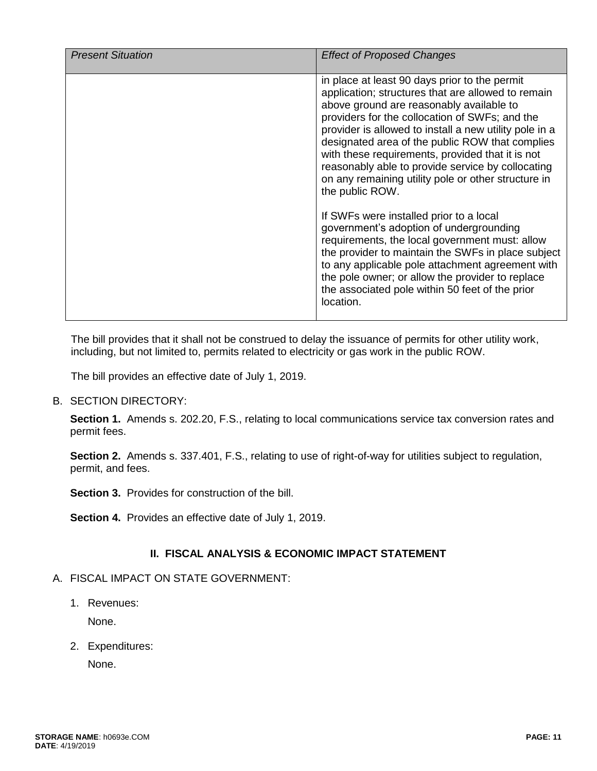| in place at least 90 days prior to the permit<br>application; structures that are allowed to remain<br>above ground are reasonably available to<br>providers for the collocation of SWFs; and the<br>provider is allowed to install a new utility pole in a<br>designated area of the public ROW that complies                                                                                                                                                                                    | <b>Present Situation</b> | <b>Effect of Proposed Changes</b>                |
|---------------------------------------------------------------------------------------------------------------------------------------------------------------------------------------------------------------------------------------------------------------------------------------------------------------------------------------------------------------------------------------------------------------------------------------------------------------------------------------------------|--------------------------|--------------------------------------------------|
| reasonably able to provide service by collocating<br>on any remaining utility pole or other structure in<br>the public ROW.<br>If SWFs were installed prior to a local<br>government's adoption of undergrounding<br>requirements, the local government must: allow<br>the provider to maintain the SWFs in place subject<br>to any applicable pole attachment agreement with<br>the pole owner; or allow the provider to replace<br>the associated pole within 50 feet of the prior<br>location. |                          | with these requirements, provided that it is not |

The bill provides that it shall not be construed to delay the issuance of permits for other utility work, including, but not limited to, permits related to electricity or gas work in the public ROW.

The bill provides an effective date of July 1, 2019.

B. SECTION DIRECTORY:

**Section 1.** Amends s. 202.20, F.S., relating to local communications service tax conversion rates and permit fees.

**Section 2.** Amends s. 337.401, F.S., relating to use of right-of-way for utilities subject to regulation, permit, and fees.

**Section 3.** Provides for construction of the bill.

**Section 4.** Provides an effective date of July 1, 2019.

## **II. FISCAL ANALYSIS & ECONOMIC IMPACT STATEMENT**

## A. FISCAL IMPACT ON STATE GOVERNMENT:

1. Revenues:

None.

2. Expenditures:

None.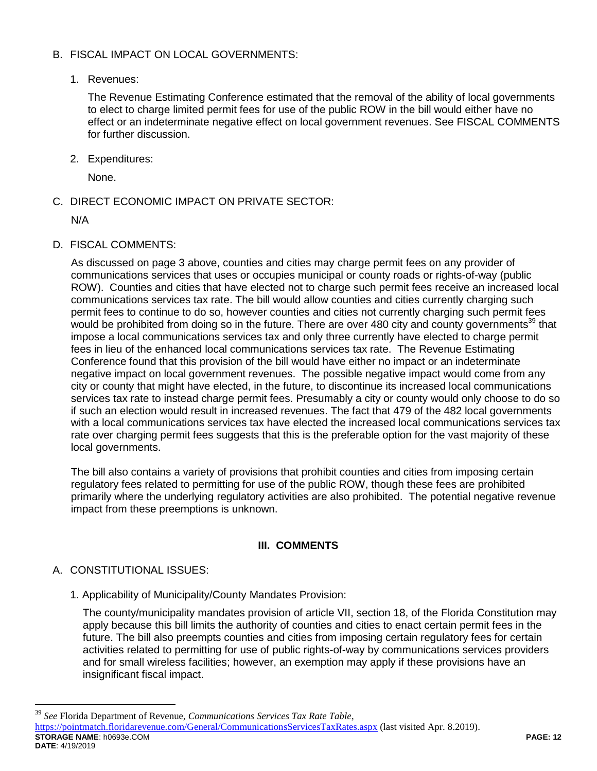# B. FISCAL IMPACT ON LOCAL GOVERNMENTS:

# 1. Revenues:

The Revenue Estimating Conference estimated that the removal of the ability of local governments to elect to charge limited permit fees for use of the public ROW in the bill would either have no effect or an indeterminate negative effect on local government revenues. See FISCAL COMMENTS for further discussion.

2. Expenditures:

None.

C. DIRECT ECONOMIC IMPACT ON PRIVATE SECTOR:

N/A

D. FISCAL COMMENTS:

As discussed on page 3 above, counties and cities may charge permit fees on any provider of communications services that uses or occupies municipal or county roads or rights-of-way (public ROW). Counties and cities that have elected not to charge such permit fees receive an increased local communications services tax rate. The bill would allow counties and cities currently charging such permit fees to continue to do so, however counties and cities not currently charging such permit fees would be prohibited from doing so in the future. There are over 480 city and county governments<sup>39</sup> that impose a local communications services tax and only three currently have elected to charge permit fees in lieu of the enhanced local communications services tax rate. The Revenue Estimating Conference found that this provision of the bill would have either no impact or an indeterminate negative impact on local government revenues. The possible negative impact would come from any city or county that might have elected, in the future, to discontinue its increased local communications services tax rate to instead charge permit fees. Presumably a city or county would only choose to do so if such an election would result in increased revenues. The fact that 479 of the 482 local governments with a local communications services tax have elected the increased local communications services tax rate over charging permit fees suggests that this is the preferable option for the vast majority of these local governments.

The bill also contains a variety of provisions that prohibit counties and cities from imposing certain regulatory fees related to permitting for use of the public ROW, though these fees are prohibited primarily where the underlying regulatory activities are also prohibited. The potential negative revenue impact from these preemptions is unknown.

# **III. COMMENTS**

# A. CONSTITUTIONAL ISSUES:

 $\overline{a}$ 

1. Applicability of Municipality/County Mandates Provision:

The county/municipality mandates provision of article VII, section 18, of the Florida Constitution may apply because this bill limits the authority of counties and cities to enact certain permit fees in the future. The bill also preempts counties and cities from imposing certain regulatory fees for certain activities related to permitting for use of public rights-of-way by communications services providers and for small wireless facilities; however, an exemption may apply if these provisions have an insignificant fiscal impact.

**STORAGE NAME**: h0693e.COM **PAGE: 12 DATE**: 4/19/2019 <sup>39</sup> *See* Florida Department of Revenue, *Communications Services Tax Rate Table*, <https://pointmatch.floridarevenue.com/General/CommunicationsServicesTaxRates.aspx> (last visited Apr. 8.2019).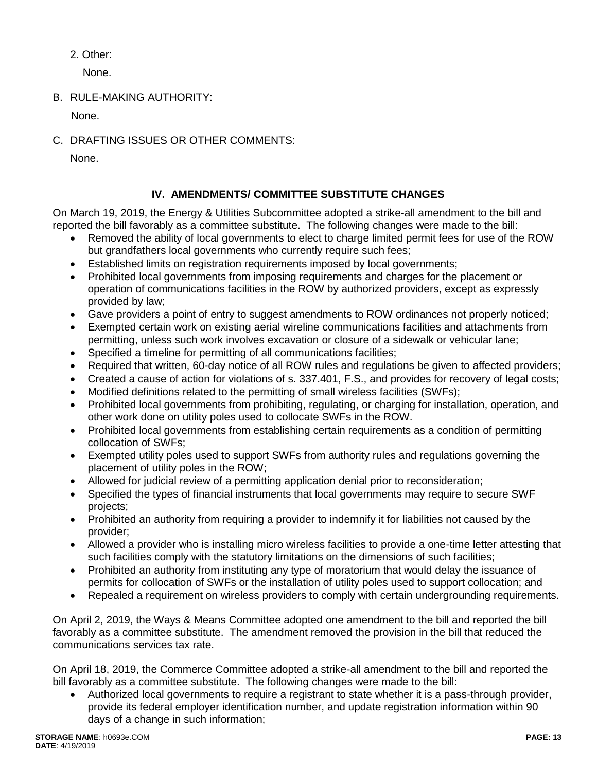2. Other:

None.

B. RULE-MAKING AUTHORITY:

None.

C. DRAFTING ISSUES OR OTHER COMMENTS:

None.

# **IV. AMENDMENTS/ COMMITTEE SUBSTITUTE CHANGES**

On March 19, 2019, the Energy & Utilities Subcommittee adopted a strike-all amendment to the bill and reported the bill favorably as a committee substitute. The following changes were made to the bill:

- Removed the ability of local governments to elect to charge limited permit fees for use of the ROW but grandfathers local governments who currently require such fees;
- Established limits on registration requirements imposed by local governments;
- Prohibited local governments from imposing requirements and charges for the placement or operation of communications facilities in the ROW by authorized providers, except as expressly provided by law;
- Gave providers a point of entry to suggest amendments to ROW ordinances not properly noticed;
- Exempted certain work on existing aerial wireline communications facilities and attachments from permitting, unless such work involves excavation or closure of a sidewalk or vehicular lane;
- Specified a timeline for permitting of all communications facilities;
- Required that written, 60-day notice of all ROW rules and regulations be given to affected providers;
- Created a cause of action for violations of s. 337.401, F.S., and provides for recovery of legal costs;
- Modified definitions related to the permitting of small wireless facilities (SWFs);
- Prohibited local governments from prohibiting, regulating, or charging for installation, operation, and other work done on utility poles used to collocate SWFs in the ROW.
- Prohibited local governments from establishing certain requirements as a condition of permitting collocation of SWFs;
- Exempted utility poles used to support SWFs from authority rules and regulations governing the placement of utility poles in the ROW;
- Allowed for judicial review of a permitting application denial prior to reconsideration;
- Specified the types of financial instruments that local governments may require to secure SWF projects;
- Prohibited an authority from requiring a provider to indemnify it for liabilities not caused by the provider;
- Allowed a provider who is installing micro wireless facilities to provide a one-time letter attesting that such facilities comply with the statutory limitations on the dimensions of such facilities;
- Prohibited an authority from instituting any type of moratorium that would delay the issuance of permits for collocation of SWFs or the installation of utility poles used to support collocation; and
- Repealed a requirement on wireless providers to comply with certain undergrounding requirements.

On April 2, 2019, the Ways & Means Committee adopted one amendment to the bill and reported the bill favorably as a committee substitute. The amendment removed the provision in the bill that reduced the communications services tax rate.

On April 18, 2019, the Commerce Committee adopted a strike-all amendment to the bill and reported the bill favorably as a committee substitute. The following changes were made to the bill:

 Authorized local governments to require a registrant to state whether it is a pass-through provider, provide its federal employer identification number, and update registration information within 90 days of a change in such information;